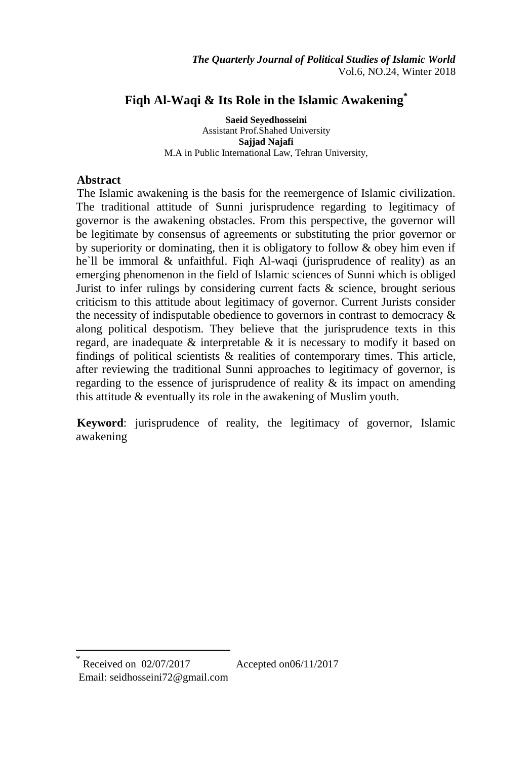*The Quarterly Journal of Political Studies of Islamic World* Vol.6, NO.24, Winter 2018

# **Fiqh Al-Waqi & Its Role in the Islamic Awakening\***

**Saeid Seyedhosseini** Assistant Prof.Shahed University **Sajjad Najafi** M.A in Public International Law, Tehran University,

### **Abstract**

1

The Islamic awakening is the basis for the reemergence of Islamic civilization. The traditional attitude of Sunni jurisprudence regarding to legitimacy of governor is the awakening obstacles. From this perspective, the governor will be legitimate by consensus of agreements or substituting the prior governor or by superiority or dominating, then it is obligatory to follow & obey him even if he`ll be immoral & unfaithful. Fiqh Al-waqi (jurisprudence of reality) as an emerging phenomenon in the field of Islamic sciences of Sunni which is obliged Jurist to infer rulings by considering current facts  $\&$  science, brought serious criticism to this attitude about legitimacy of governor. Current Jurists consider the necessity of indisputable obedience to governors in contrast to democracy & along political despotism. They believe that the jurisprudence texts in this regard, are inadequate & interpretable & it is necessary to modify it based on findings of political scientists & realities of contemporary times. This article, after reviewing the traditional Sunni approaches to legitimacy of governor, is regarding to the essence of jurisprudence of reality  $\&$  its impact on amending this attitude & eventually its role in the awakening of Muslim youth.

**Keyword**: jurisprudence of reality, the legitimacy of governor, Islamic awakening

<sup>\*</sup> Received on 02/07/2017 Accepted on06/11/2017 Email: seidhosseini72@gmail.com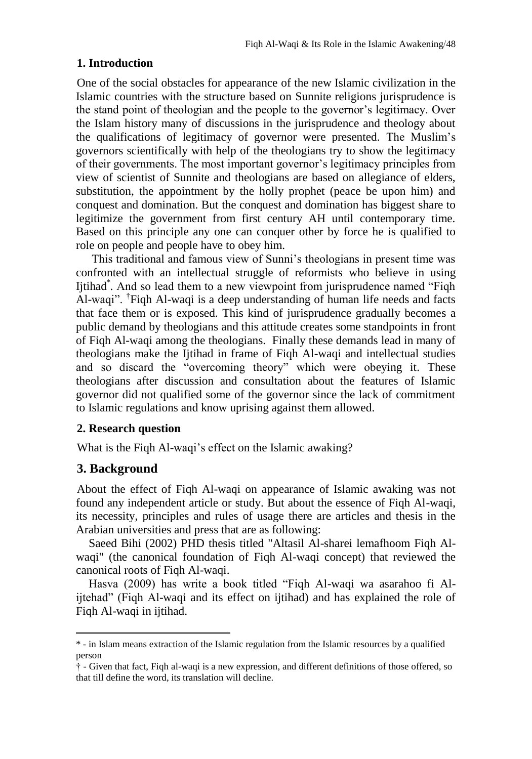# **1. Introduction**

One of the social obstacles for appearance of the new Islamic civilization in the Islamic countries with the structure based on Sunnite religions jurisprudence is the stand point of theologian and the people to the governor"s legitimacy. Over the Islam history many of discussions in the jurisprudence and theology about the qualifications of legitimacy of governor were presented. The Muslim"s governors scientifically with help of the theologians try to show the legitimacy of their governments. The most important governor"s legitimacy principles from view of scientist of Sunnite and theologians are based on allegiance of elders, substitution, the appointment by the holly prophet (peace be upon him) and conquest and domination. But the conquest and domination has biggest share to legitimize the government from first century AH until contemporary time. Based on this principle any one can conquer other by force he is qualified to role on people and people have to obey him.

This traditional and famous view of Sunni's theologians in present time was confronted with an intellectual struggle of reformists who believe in using Ijtihad\* . And so lead them to a new viewpoint from jurisprudence named "Fiqh Al-waqi". † Fiqh Al-waqi is a deep understanding of human life needs and facts that face them or is exposed. This kind of jurisprudence gradually becomes a public demand by theologians and this attitude creates some standpoints in front of Fiqh Al-waqi among the theologians. Finally these demands lead in many of theologians make the Ijtihad in frame of Fiqh Al-waqi and intellectual studies and so discard the "overcoming theory" which were obeying it. These theologians after discussion and consultation about the features of Islamic governor did not qualified some of the governor since the lack of commitment to Islamic regulations and know uprising against them allowed.

## **2. Research question**

What is the Fiqh Al-waqi's effect on the Islamic awaking?

## **3. Background**

1

About the effect of Fiqh Al-waqi on appearance of Islamic awaking was not found any independent article or study. But about the essence of Fiqh Al-waqi, its necessity, principles and rules of usage there are articles and thesis in the Arabian universities and press that are as following:

 Saeed Bihi (2002) PHD thesis titled "Altasil Al-sharei lemafhoom Fiqh Alwaqi" (the canonical foundation of Fiqh Al-waqi concept) that reviewed the canonical roots of Fiqh Al-waqi.

 Hasva (2009) has write a book titled "Fiqh Al-waqi wa asarahoo fi Alijtehad" (Fiqh Al-waqi and its effect on ijtihad) and has explained the role of Fiqh Al-waqi in ijtihad.

<sup>\*</sup> - in Islam means extraction of the Islamic regulation from the Islamic resources by a qualified person

<sup>†</sup> - Given that fact, Fiqh al-waqi is a new expression, and different definitions of those offered, so that till define the word, its translation will decline.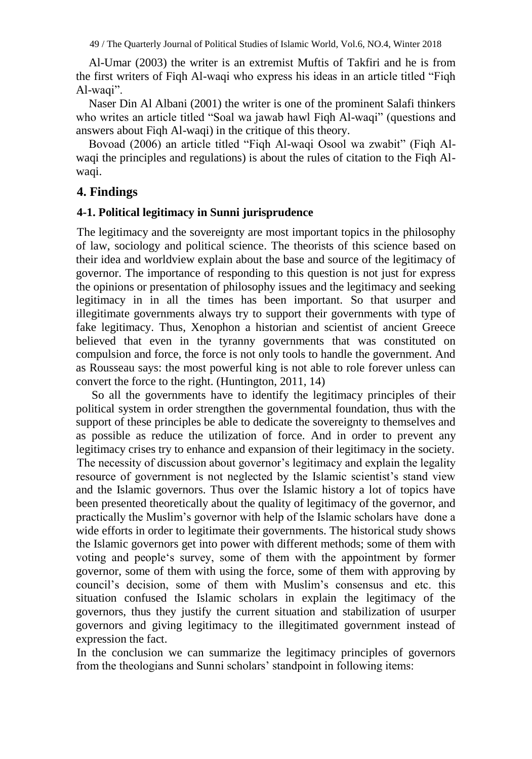49 / The Quarterly Journal of Political Studies of Islamic World, Vol.6, NO.4, Winter 2018

 Al-Umar (2003) the writer is an extremist Muftis of Takfiri and he is from the first writers of Fiqh Al-waqi who express his ideas in an article titled "Fiqh Al-waqi".

 Naser Din Al Albani (2001) the writer is one of the prominent Salafi thinkers who writes an article titled "Soal wa jawab hawl Fiqh Al-waqi" (questions and answers about Fiqh Al-waqi) in the critique of this theory.

 Bovoad (2006) an article titled "Fiqh Al-waqi Osool wa zwabit" (Fiqh Alwaqi the principles and regulations) is about the rules of citation to the Fiqh Alwaqi.

### **4. Findings**

### **4-1. Political legitimacy in Sunni jurisprudence**

The legitimacy and the sovereignty are most important topics in the philosophy of law, sociology and political science. The theorists of this science based on their idea and worldview explain about the base and source of the legitimacy of governor. The importance of responding to this question is not just for express the opinions or presentation of philosophy issues and the legitimacy and seeking legitimacy in in all the times has been important. So that usurper and illegitimate governments always try to support their governments with type of fake legitimacy. Thus, Xenophon a historian and scientist of ancient Greece believed that even in the tyranny governments that was constituted on compulsion and force, the force is not only tools to handle the government. And as Rousseau says: the most powerful king is not able to role forever unless can convert the force to the right. (Huntington, 2011, 14)

 So all the governments have to identify the legitimacy principles of their political system in order strengthen the governmental foundation, thus with the support of these principles be able to dedicate the sovereignty to themselves and as possible as reduce the utilization of force. And in order to prevent any legitimacy crises try to enhance and expansion of their legitimacy in the society. The necessity of discussion about governor's legitimacy and explain the legality resource of government is not neglected by the Islamic scientist's stand view and the Islamic governors. Thus over the Islamic history a lot of topics have been presented theoretically about the quality of legitimacy of the governor, and practically the Muslim"s governor with help of the Islamic scholars have done a wide efforts in order to legitimate their governments. The historical study shows the Islamic governors get into power with different methods; some of them with voting and people"s survey, some of them with the appointment by former governor, some of them with using the force, some of them with approving by council"s decision, some of them with Muslim"s consensus and etc. this situation confused the Islamic scholars in explain the legitimacy of the governors, thus they justify the current situation and stabilization of usurper governors and giving legitimacy to the illegitimated government instead of expression the fact.

In the conclusion we can summarize the legitimacy principles of governors from the theologians and Sunni scholars' standpoint in following items: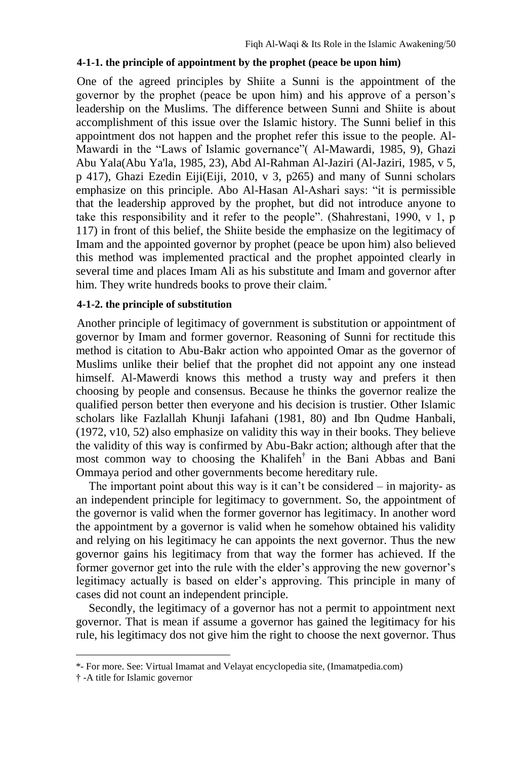### **4-1-1. the principle of appointment by the prophet (peace be upon him)**

One of the agreed principles by Shiite a Sunni is the appointment of the governor by the prophet (peace be upon him) and his approve of a person"s leadership on the Muslims. The difference between Sunni and Shiite is about accomplishment of this issue over the Islamic history. The Sunni belief in this appointment dos not happen and the prophet refer this issue to the people. Al-Mawardi in the "Laws of Islamic governance"( Al-Mawardi, 1985, 9), Ghazi Abu Yala(Abu Ya'la, 1985, 23), Abd Al-Rahman Al-Jaziri (Al-Jaziri, 1985, v 5, p 417), Ghazi Ezedin Eiji(Eiji, 2010, v 3, p265) and many of Sunni scholars emphasize on this principle. Abo Al-Hasan Al-Ashari says: "it is permissible that the leadership approved by the prophet, but did not introduce anyone to take this responsibility and it refer to the people". (Shahrestani, 1990, v 1, p 117) in front of this belief, the Shiite beside the emphasize on the legitimacy of Imam and the appointed governor by prophet (peace be upon him) also believed this method was implemented practical and the prophet appointed clearly in several time and places Imam Ali as his substitute and Imam and governor after him. They write hundreds books to prove their claim.<sup>\*</sup>

### **4-1-2. the principle of substitution**

Another principle of legitimacy of government is substitution or appointment of governor by Imam and former governor. Reasoning of Sunni for rectitude this method is citation to Abu-Bakr action who appointed Omar as the governor of Muslims unlike their belief that the prophet did not appoint any one instead himself. Al-Mawerdi knows this method a trusty way and prefers it then choosing by people and consensus. Because he thinks the governor realize the qualified person better then everyone and his decision is trustier. Other Islamic scholars like Fazlallah Khunji Iafahani (1981, 80) and Ibn Qudme Hanbali, (1972, v10, 52) also emphasize on validity this way in their books. They believe the validity of this way is confirmed by Abu-Bakr action; although after that the most common way to choosing the Khalifeh† in the Bani Abbas and Bani Ommaya period and other governments become hereditary rule.

The important point about this way is it can't be considered  $-$  in majority- as an independent principle for legitimacy to government. So, the appointment of the governor is valid when the former governor has legitimacy. In another word the appointment by a governor is valid when he somehow obtained his validity and relying on his legitimacy he can appoints the next governor. Thus the new governor gains his legitimacy from that way the former has achieved. If the former governor get into the rule with the elder"s approving the new governor"s legitimacy actually is based on elder's approving. This principle in many of cases did not count an independent principle.

 Secondly, the legitimacy of a governor has not a permit to appointment next governor. That is mean if assume a governor has gained the legitimacy for his rule, his legitimacy dos not give him the right to choose the next governor. Thus

1

<sup>\*-</sup> For more. See: Virtual Imamat and Velayat encyclopedia site, (Imamatpedia.com)

<sup>†</sup> -A title for Islamic governor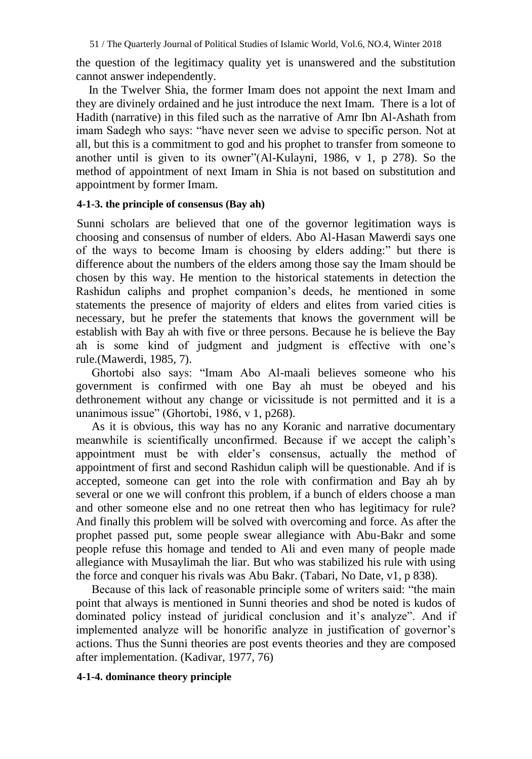the question of the legitimacy quality yet is unanswered and the substitution cannot answer independently.

 In the Twelver Shia, the former Imam does not appoint the next Imam and they are divinely ordained and he just introduce the next Imam. There is a lot of Hadith (narrative) in this filed such as the narrative of Amr Ibn Al-Ashath from imam Sadegh who says: "have never seen we advise to specific person. Not at all, but this is a commitment to god and his prophet to transfer from someone to another until is given to its owner"(Al-Kulayni, 1986, v 1, p 278). So the method of appointment of next Imam in Shia is not based on substitution and appointment by former Imam.

### **4-1-3. the principle of consensus (Bay ah)**

Sunni scholars are believed that one of the governor legitimation ways is choosing and consensus of number of elders. Abo Al-Hasan Mawerdi says one of the ways to become Imam is choosing by elders adding:" but there is difference about the numbers of the elders among those say the Imam should be chosen by this way. He mention to the historical statements in detection the Rashidun caliphs and prophet companion"s deeds, he mentioned in some statements the presence of majority of elders and elites from varied cities is necessary, but he prefer the statements that knows the government will be establish with Bay ah with five or three persons. Because he is believe the Bay ah is some kind of judgment and judgment is effective with one"s rule.(Mawerdi, 1985, 7).

 Ghortobi also says: "Imam Abo Al-maali believes someone who his government is confirmed with one Bay ah must be obeyed and his dethronement without any change or vicissitude is not permitted and it is a unanimous issue" (Ghortobi, 1986, v 1, p268).

 As it is obvious, this way has no any Koranic and narrative documentary meanwhile is scientifically unconfirmed. Because if we accept the caliph"s appointment must be with elder"s consensus, actually the method of appointment of first and second Rashidun caliph will be questionable. And if is accepted, someone can get into the role with confirmation and Bay ah by several or one we will confront this problem, if a bunch of elders choose a man and other someone else and no one retreat then who has legitimacy for rule? And finally this problem will be solved with overcoming and force. As after the prophet passed put, some people swear allegiance with Abu-Bakr and some people refuse this homage and tended to Ali and even many of people made allegiance with Musaylimah the liar. But who was stabilized his rule with using the force and conquer his rivals was Abu Bakr. (Tabari, No Date, v1, p 838).

 Because of this lack of reasonable principle some of writers said: "the main point that always is mentioned in Sunni theories and shod be noted is kudos of dominated policy instead of juridical conclusion and it's analyze". And if implemented analyze will be honorific analyze in justification of governor's actions. Thus the Sunni theories are post events theories and they are composed after implementation. (Kadivar, 1977, 76)

#### **4-1-4. dominance theory principle**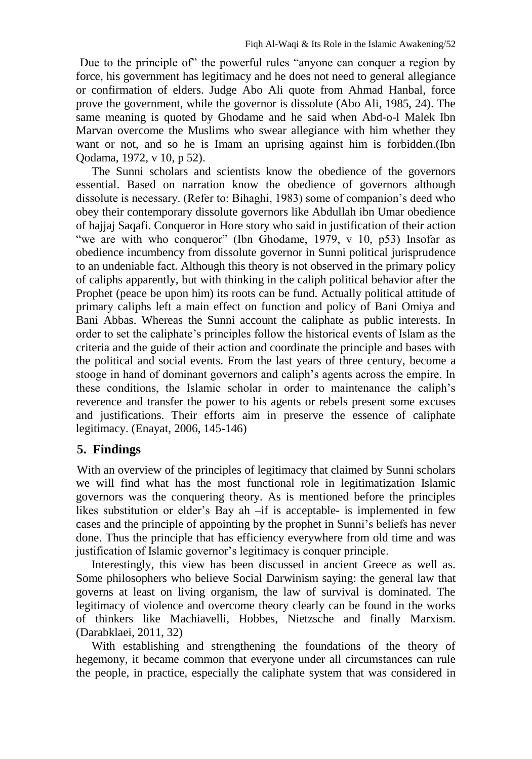Due to the principle of" the powerful rules "anyone can conquer a region by force, his government has legitimacy and he does not need to general allegiance or confirmation of elders. Judge Abo Ali quote from Ahmad Hanbal, force prove the government, while the governor is dissolute (Abo Ali, 1985, 24). The same meaning is quoted by Ghodame and he said when Abd-o-l Malek Ibn Marvan overcome the Muslims who swear allegiance with him whether they want or not, and so he is Imam an uprising against him is forbidden.(Ibn Qodama, 1972, v 10, p 52).

 The Sunni scholars and scientists know the obedience of the governors essential. Based on narration know the obedience of governors although dissolute is necessary. (Refer to: Bihaghi, 1983) some of companion"s deed who obey their contemporary dissolute governors like Abdullah ibn Umar obedience of hajjaj Saqafi. Conqueror in Hore story who said in justification of their action "we are with who conqueror" (Ibn Ghodame, 1979, v 10, p53) Insofar as obedience incumbency from dissolute governor in Sunni political jurisprudence to an undeniable fact. Although this theory is not observed in the primary policy of caliphs apparently, but with thinking in the caliph political behavior after the Prophet (peace be upon him) its roots can be fund. Actually political attitude of primary caliphs left a main effect on function and policy of Bani Omiya and Bani Abbas. Whereas the Sunni account the caliphate as public interests. In order to set the caliphate"s principles follow the historical events of Islam as the criteria and the guide of their action and coordinate the principle and bases with the political and social events. From the last years of three century, become a stooge in hand of dominant governors and caliph"s agents across the empire. In these conditions, the Islamic scholar in order to maintenance the caliph"s reverence and transfer the power to his agents or rebels present some excuses and justifications. Their efforts aim in preserve the essence of caliphate legitimacy. (Enayat, 2006, 145-146)

# **5. Findings**

With an overview of the principles of legitimacy that claimed by Sunni scholars we will find what has the most functional role in legitimatization Islamic governors was the conquering theory. As is mentioned before the principles likes substitution or elder's Bay ah –if is acceptable- is implemented in few cases and the principle of appointing by the prophet in Sunni"s beliefs has never done. Thus the principle that has efficiency everywhere from old time and was justification of Islamic governor's legitimacy is conquer principle.

 Interestingly, this view has been discussed in ancient Greece as well as. Some philosophers who believe Social Darwinism saying: the general law that governs at least on living organism, the law of survival is dominated. The legitimacy of violence and overcome theory clearly can be found in the works of thinkers like Machiavelli, Hobbes, Nietzsche and finally Marxism. (Darabklaei, 2011, 32)

 With establishing and strengthening the foundations of the theory of hegemony, it became common that everyone under all circumstances can rule the people, in practice, especially the caliphate system that was considered in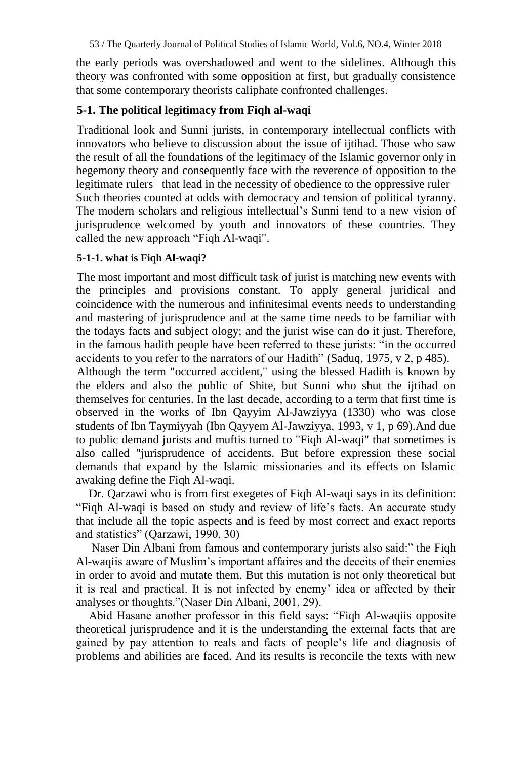the early periods was overshadowed and went to the sidelines. Although this theory was confronted with some opposition at first, but gradually consistence that some contemporary theorists caliphate confronted challenges.

# **5-1. The political legitimacy from Fiqh al-waqi**

Traditional look and Sunni jurists, in contemporary intellectual conflicts with innovators who believe to discussion about the issue of ijtihad. Those who saw the result of all the foundations of the legitimacy of the Islamic governor only in hegemony theory and consequently face with the reverence of opposition to the legitimate rulers –that lead in the necessity of obedience to the oppressive ruler– Such theories counted at odds with democracy and tension of political tyranny. The modern scholars and religious intellectual"s Sunni tend to a new vision of jurisprudence welcomed by youth and innovators of these countries. They called the new approach "Fiqh Al-waqi".

# **5-1-1. what is Fiqh Al-waqi?**

The most important and most difficult task of jurist is matching new events with the principles and provisions constant. To apply general juridical and coincidence with the numerous and infinitesimal events needs to understanding and mastering of jurisprudence and at the same time needs to be familiar with the todays facts and subject ology; and the jurist wise can do it just. Therefore, in the famous hadith people have been referred to these jurists: "in the occurred accidents to you refer to the narrators of our Hadith" (Saduq, 1975, v 2, p 485).

Although the term "occurred accident," using the blessed Hadith is known by the elders and also the public of Shite, but Sunni who shut the ijtihad on themselves for centuries. In the last decade, according to a term that first time is observed in the works of Ibn Qayyim Al-Jawziyya (1330) who was close students of Ibn Taymiyyah (Ibn Qayyem Al-Jawziyya, 1993, v 1, p 69).And due to public demand jurists and muftis turned to "Fiqh Al-waqi" that sometimes is also called "jurisprudence of accidents. But before expression these social demands that expand by the Islamic missionaries and its effects on Islamic awaking define the Fiqh Al-waqi.

 Dr. Qarzawi who is from first exegetes of Fiqh Al-waqi says in its definition: "Fiqh Al-waqi is based on study and review of life"s facts. An accurate study that include all the topic aspects and is feed by most correct and exact reports and statistics" (Qarzawi, 1990, 30)

 Naser Din Albani from famous and contemporary jurists also said:" the Fiqh Al-waqiis aware of Muslim"s important affaires and the deceits of their enemies in order to avoid and mutate them. But this mutation is not only theoretical but it is real and practical. It is not infected by enemy' idea or affected by their analyses or thoughts."(Naser Din Albani, 2001, 29).

 Abid Hasane another professor in this field says: "Fiqh Al-waqiis opposite theoretical jurisprudence and it is the understanding the external facts that are gained by pay attention to reals and facts of people"s life and diagnosis of problems and abilities are faced. And its results is reconcile the texts with new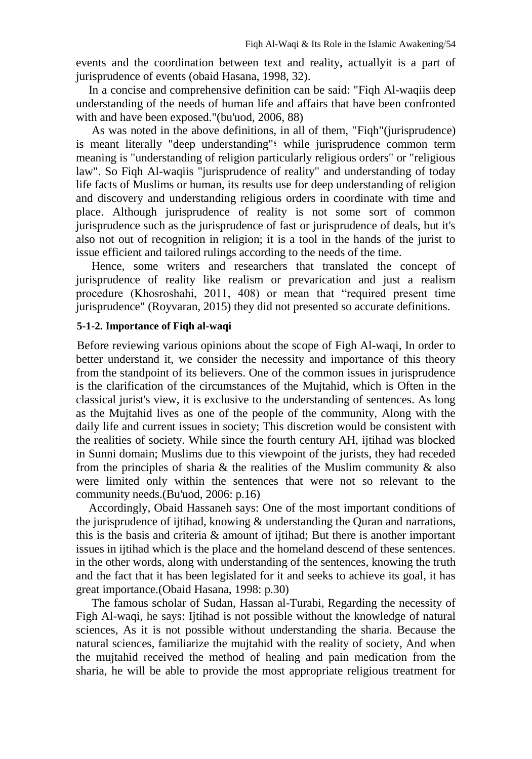events and the coordination between text and reality, actuallyit is a part of jurisprudence of events (obaid Hasana, 1998, 32).

 In a concise and comprehensive definition can be said: "Fiqh Al-waqiis deep understanding of the needs of human life and affairs that have been confronted with and have been exposed."(bu'uod, 2006, 88)

 As was noted in the above definitions, in all of them, "Fiqh"(jurisprudence) is meant literally "deep understanding"؛ while jurisprudence common term meaning is "understanding of religion particularly religious orders" or "religious law". So Fiqh Al-waqiis "jurisprudence of reality" and understanding of today life facts of Muslims or human, its results use for deep understanding of religion and discovery and understanding religious orders in coordinate with time and place. Although jurisprudence of reality is not some sort of common jurisprudence such as the jurisprudence of fast or jurisprudence of deals, but it's also not out of recognition in religion; it is a tool in the hands of the jurist to issue efficient and tailored rulings according to the needs of the time.

 Hence, some writers and researchers that translated the concept of jurisprudence of reality like realism or prevarication and just a realism procedure (Khosroshahi, 2011, 408) or mean that "required present time jurisprudence" (Royvaran, 2015) they did not presented so accurate definitions.

## **5-1-2. Importance of Fiqh al-waqi**

Before reviewing various opinions about the scope of Figh Al-waqi, In order to better understand it, we consider the necessity and importance of this theory from the standpoint of its believers. One of the common issues in jurisprudence is the clarification of the circumstances of the Mujtahid, which is Often in the classical jurist's view, it is exclusive to the understanding of sentences. As long as the Mujtahid lives as one of the people of the community, Along with the daily life and current issues in society; This discretion would be consistent with the realities of society. While since the fourth century AH, ijtihad was blocked in Sunni domain; Muslims due to this viewpoint of the jurists, they had receded from the principles of sharia  $\&$  the realities of the Muslim community  $\&$  also were limited only within the sentences that were not so relevant to the community needs.(Bu'uod, 2006: p.16)

 Accordingly, Obaid Hassaneh says: One of the most important conditions of the jurisprudence of ijtihad, knowing & understanding the Quran and narrations, this is the basis and criteria  $\&$  amount of ijtihad; But there is another important issues in ijtihad which is the place and the homeland descend of these sentences. in the other words, along with understanding of the sentences, knowing the truth and the fact that it has been legislated for it and seeks to achieve its goal, it has great importance.(Obaid Hasana, 1998: p.30)

 The famous scholar of Sudan, Hassan al-Turabi, Regarding the necessity of Figh Al-waqi, he says: Ijtihad is not possible without the knowledge of natural sciences, As it is not possible without understanding the sharia. Because the natural sciences, familiarize the mujtahid with the reality of society, And when the mujtahid received the method of healing and pain medication from the sharia, he will be able to provide the most appropriate religious treatment for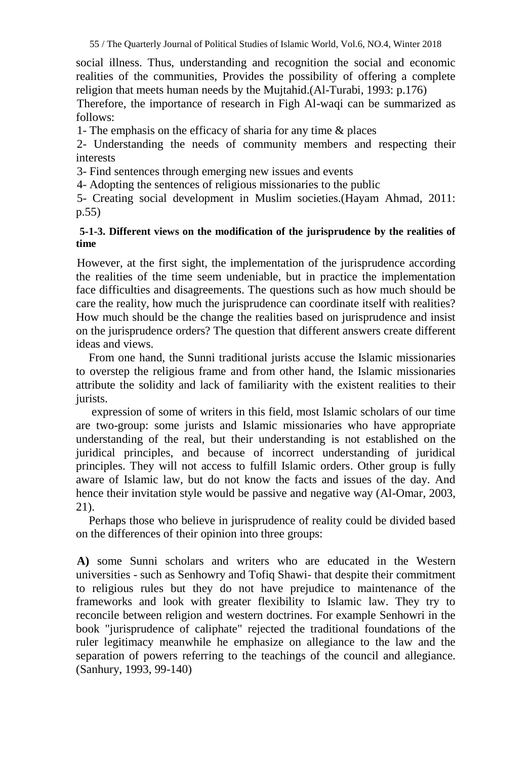55 / The Quarterly Journal of Political Studies of Islamic World, Vol.6, NO.4, Winter 2018

social illness. Thus, understanding and recognition the social and economic realities of the communities, Provides the possibility of offering a complete religion that meets human needs by the Mujtahid.(Al-Turabi, 1993: p.176)

Therefore, the importance of research in Figh Al-waqi can be summarized as follows:

1- The emphasis on the efficacy of sharia for any time & places

2- Understanding the needs of community members and respecting their interests

3- Find sentences through emerging new issues and events

4- Adopting the sentences of religious missionaries to the public

5- Creating social development in Muslim societies.(Hayam Ahmad, 2011: p.55)

### **5-1-3. Different views on the modification of the jurisprudence by the realities of time**

However, at the first sight, the implementation of the jurisprudence according the realities of the time seem undeniable, but in practice the implementation face difficulties and disagreements. The questions such as how much should be care the reality, how much the jurisprudence can coordinate itself with realities? How much should be the change the realities based on jurisprudence and insist on the jurisprudence orders? The question that different answers create different ideas and views.

 From one hand, the Sunni traditional jurists accuse the Islamic missionaries to overstep the religious frame and from other hand, the Islamic missionaries attribute the solidity and lack of familiarity with the existent realities to their jurists.

 expression of some of writers in this field, most Islamic scholars of our time are two-group: some jurists and Islamic missionaries who have appropriate understanding of the real, but their understanding is not established on the juridical principles, and because of incorrect understanding of juridical principles. They will not access to fulfill Islamic orders. Other group is fully aware of Islamic law, but do not know the facts and issues of the day. And hence their invitation style would be passive and negative way (Al-Omar, 2003, 21).

 Perhaps those who believe in jurisprudence of reality could be divided based on the differences of their opinion into three groups:

**A)** some Sunni scholars and writers who are educated in the Western universities - such as Senhowry and Tofiq Shawi- that despite their commitment to religious rules but they do not have prejudice to maintenance of the frameworks and look with greater flexibility to Islamic law. They try to reconcile between religion and western doctrines. For example Senhowri in the book "jurisprudence of caliphate" rejected the traditional foundations of the ruler legitimacy meanwhile he emphasize on allegiance to the law and the separation of powers referring to the teachings of the council and allegiance. (Sanhury, 1993, 99-140)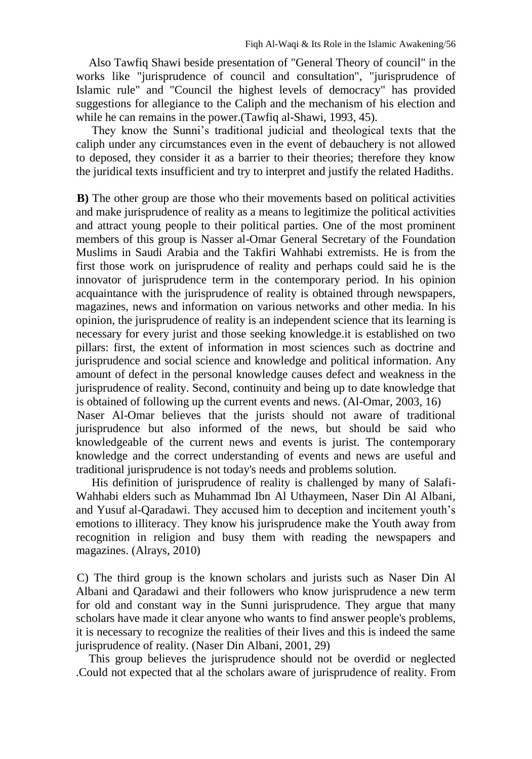Also Tawfiq Shawi beside presentation of "General Theory of council" in the works like "jurisprudence of council and consultation", "jurisprudence of Islamic rule" and "Council the highest levels of democracy" has provided suggestions for allegiance to the Caliph and the mechanism of his election and while he can remains in the power.(Tawfiq al-Shawi, 1993, 45).

They know the Sunni's traditional judicial and theological texts that the caliph under any circumstances even in the event of debauchery is not allowed to deposed, they consider it as a barrier to their theories; therefore they know the juridical texts insufficient and try to interpret and justify the related Hadiths.

**B)** The other group are those who their movements based on political activities and make jurisprudence of reality as a means to legitimize the political activities and attract young people to their political parties. One of the most prominent members of this group is Nasser al-Omar General Secretary of the Foundation Muslims in Saudi Arabia and the Takfiri Wahhabi extremists. He is from the first those work on jurisprudence of reality and perhaps could said he is the innovator of jurisprudence term in the contemporary period. In his opinion acquaintance with the jurisprudence of reality is obtained through newspapers, magazines, news and information on various networks and other media. In his opinion, the jurisprudence of reality is an independent science that its learning is necessary for every jurist and those seeking knowledge.it is established on two pillars: first, the extent of information in most sciences such as doctrine and jurisprudence and social science and knowledge and political information. Any amount of defect in the personal knowledge causes defect and weakness in the jurisprudence of reality. Second, continuity and being up to date knowledge that is obtained of following up the current events and news. (Al-Omar, 2003, 16) Naser Al-Omar believes that the jurists should not aware of traditional jurisprudence but also informed of the news, but should be said who knowledgeable of the current news and events is jurist. The contemporary knowledge and the correct understanding of events and news are useful and

 His definition of jurisprudence of reality is challenged by many of Salafi-Wahhabi elders such as Muhammad Ibn Al Uthaymeen, Naser Din Al Albani, and Yusuf al-Qaradawi. They accused him to deception and incitement youth"s emotions to illiteracy. They know his jurisprudence make the Youth away from recognition in religion and busy them with reading the newspapers and magazines. (Alrays, 2010)

traditional jurisprudence is not today's needs and problems solution.

C) The third group is the known scholars and jurists such as Naser Din Al Albani and Qaradawi and their followers who know jurisprudence a new term for old and constant way in the Sunni jurisprudence. They argue that many scholars have made it clear anyone who wants to find answer people's problems, it is necessary to recognize the realities of their lives and this is indeed the same jurisprudence of reality. (Naser Din Albani, 2001, 29)

 This group believes the jurisprudence should not be overdid or neglected .Could not expected that al the scholars aware of jurisprudence of reality. From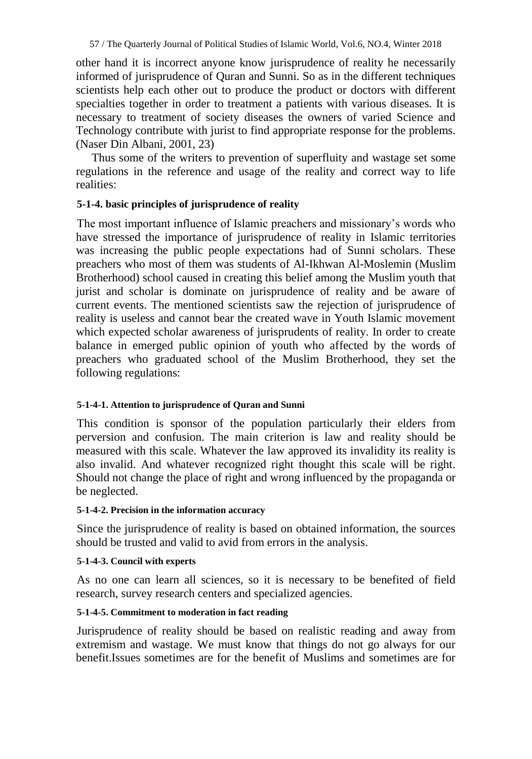57 / The Quarterly Journal of Political Studies of Islamic World, Vol.6, NO.4, Winter 2018

other hand it is incorrect anyone know jurisprudence of reality he necessarily informed of jurisprudence of Quran and Sunni. So as in the different techniques scientists help each other out to produce the product or doctors with different specialties together in order to treatment a patients with various diseases. It is necessary to treatment of society diseases the owners of varied Science and Technology contribute with jurist to find appropriate response for the problems. (Naser Din Albani, 2001, 23)

 Thus some of the writers to prevention of superfluity and wastage set some regulations in the reference and usage of the reality and correct way to life realities:

## **5-1-4. basic principles of jurisprudence of reality**

The most important influence of Islamic preachers and missionary"s words who have stressed the importance of jurisprudence of reality in Islamic territories was increasing the public people expectations had of Sunni scholars. These preachers who most of them was students of Al-Ikhwan Al-Moslemin (Muslim Brotherhood) school caused in creating this belief among the Muslim youth that jurist and scholar is dominate on jurisprudence of reality and be aware of current events. The mentioned scientists saw the rejection of jurisprudence of reality is useless and cannot bear the created wave in Youth Islamic movement which expected scholar awareness of jurisprudents of reality. In order to create balance in emerged public opinion of youth who affected by the words of preachers who graduated school of the Muslim Brotherhood, they set the following regulations:

### **5-1-4-1. Attention to jurisprudence of Quran and Sunni**

This condition is sponsor of the population particularly their elders from perversion and confusion. The main criterion is law and reality should be measured with this scale. Whatever the law approved its invalidity its reality is also invalid. And whatever recognized right thought this scale will be right. Should not change the place of right and wrong influenced by the propaganda or be neglected.

### **5-1-4-2. Precision in the information accuracy**

Since the jurisprudence of reality is based on obtained information, the sources should be trusted and valid to avid from errors in the analysis.

### **5-1-4-3. Council with experts**

As no one can learn all sciences, so it is necessary to be benefited of field research, survey research centers and specialized agencies.

### **5-1-4-5. Commitment to moderation in fact reading**

Jurisprudence of reality should be based on realistic reading and away from extremism and wastage. We must know that things do not go always for our benefit.Issues sometimes are for the benefit of Muslims and sometimes are for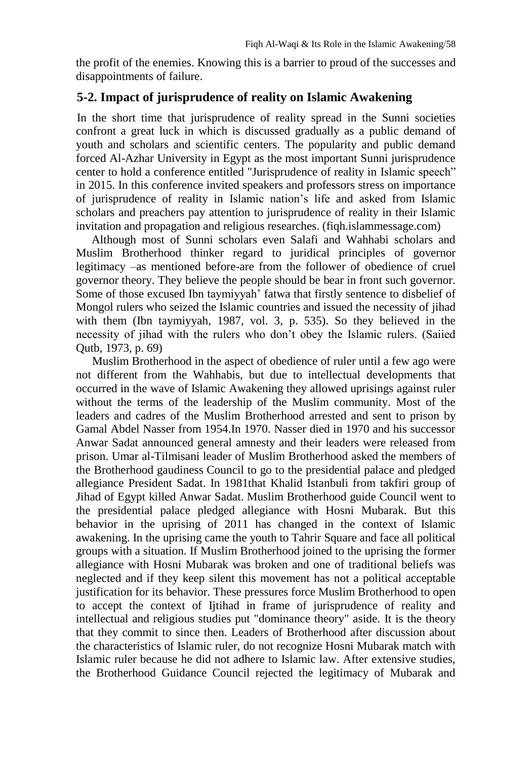the profit of the enemies. Knowing this is a barrier to proud of the successes and disappointments of failure.

# **5-2. Impact of jurisprudence of reality on Islamic Awakening**

In the short time that jurisprudence of reality spread in the Sunni societies confront a great luck in which is discussed gradually as a public demand of youth and scholars and scientific centers. The popularity and public demand forced Al-Azhar University in Egypt as the most important Sunni jurisprudence center to hold a conference entitled "Jurisprudence of reality in Islamic speech" in 2015. In this conference invited speakers and professors stress on importance of jurisprudence of reality in Islamic nation"s life and asked from Islamic scholars and preachers pay attention to jurisprudence of reality in their Islamic invitation and propagation and religious researches. (fiqh.islammessage.com)

 Although most of Sunni scholars even Salafi and Wahhabi scholars and Muslim Brotherhood thinker regard to juridical principles of governor legitimacy –as mentioned before-are from the follower of obedience of cruel governor theory. They believe the people should be bear in front such governor. Some of those excused Ibn taymiyyah" fatwa that firstly sentence to disbelief of Mongol rulers who seized the Islamic countries and issued the necessity of jihad with them (Ibn taymiyyah, 1987, vol. 3, p. 535). So they believed in the necessity of jihad with the rulers who don"t obey the Islamic rulers. (Saiied Qutb, 1973, p. 69)

 Muslim Brotherhood in the aspect of obedience of ruler until a few ago were not different from the Wahhabis, but due to intellectual developments that occurred in the wave of Islamic Awakening they allowed uprisings against ruler without the terms of the leadership of the Muslim community. Most of the leaders and cadres of the Muslim Brotherhood arrested and sent to prison by Gamal Abdel Nasser from 1954.In 1970. Nasser died in 1970 and his successor Anwar Sadat announced general amnesty and their leaders were released from prison. Umar al-Tilmisani leader of Muslim Brotherhood asked the members of the Brotherhood gaudiness Council to go to the presidential palace and pledged allegiance President Sadat. In 1981that Khalid Istanbuli from takfiri group of Jihad of Egypt killed Anwar Sadat. Muslim Brotherhood guide Council went to the presidential palace pledged allegiance with Hosni Mubarak. But this behavior in the uprising of 2011 has changed in the context of Islamic awakening. In the uprising came the youth to Tahrir Square and face all political groups with a situation. If Muslim Brotherhood joined to the uprising the former allegiance with Hosni Mubarak was broken and one of traditional beliefs was neglected and if they keep silent this movement has not a political acceptable justification for its behavior. These pressures force Muslim Brotherhood to open to accept the context of Ijtihad in frame of jurisprudence of reality and intellectual and religious studies put "dominance theory" aside. It is the theory that they commit to since then. Leaders of Brotherhood after discussion about the characteristics of Islamic ruler, do not recognize Hosni Mubarak match with Islamic ruler because he did not adhere to Islamic law. After extensive studies, the Brotherhood Guidance Council rejected the legitimacy of Mubarak and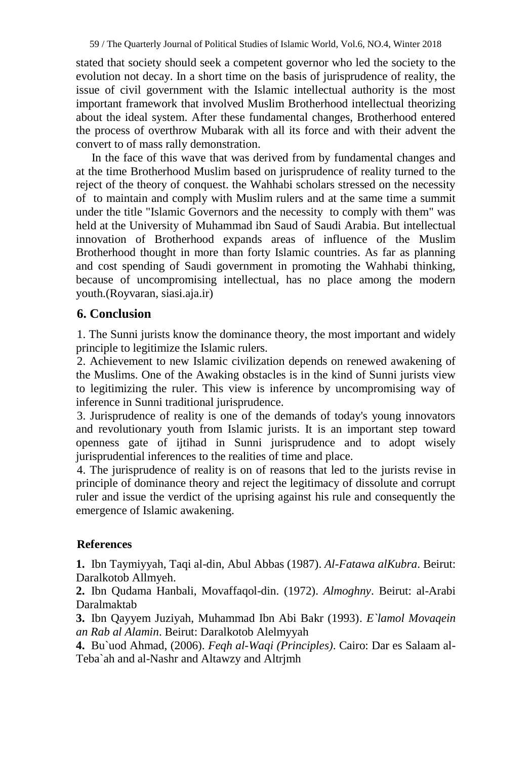stated that society should seek a competent governor who led the society to the evolution not decay. In a short time on the basis of jurisprudence of reality, the issue of civil government with the Islamic intellectual authority is the most important framework that involved Muslim Brotherhood intellectual theorizing about the ideal system. After these fundamental changes, Brotherhood entered the process of overthrow Mubarak with all its force and with their advent the convert to of mass rally demonstration.

 In the face of this wave that was derived from by fundamental changes and at the time Brotherhood Muslim based on jurisprudence of reality turned to the reject of the theory of conquest. the Wahhabi scholars stressed on the necessity of to maintain and comply with Muslim rulers and at the same time a summit under the title "Islamic Governors and the necessity to comply with them" was held at the University of Muhammad ibn Saud of Saudi Arabia. But intellectual innovation of Brotherhood expands areas of influence of the Muslim Brotherhood thought in more than forty Islamic countries. As far as planning and cost spending of Saudi government in promoting the Wahhabi thinking, because of uncompromising intellectual, has no place among the modern youth.(Royvaran, siasi.aja.ir)

# **6. Conclusion**

1. The Sunni jurists know the dominance theory, the most important and widely principle to legitimize the Islamic rulers.

2. Achievement to new Islamic civilization depends on renewed awakening of the Muslims. One of the Awaking obstacles is in the kind of Sunni jurists view to legitimizing the ruler. This view is inference by uncompromising way of inference in Sunni traditional jurisprudence.

3. Jurisprudence of reality is one of the demands of today's young innovators and revolutionary youth from Islamic jurists. It is an important step toward openness gate of ijtihad in Sunni jurisprudence and to adopt wisely jurisprudential inferences to the realities of time and place.

4. The jurisprudence of reality is on of reasons that led to the jurists revise in principle of dominance theory and reject the legitimacy of dissolute and corrupt ruler and issue the verdict of the uprising against his rule and consequently the emergence of Islamic awakening.

# **References**

**1.** Ibn Taymiyyah, Taqi al-din, Abul Abbas (1987). *Al-Fatawa alKubra*. Beirut: Daralkotob Allmyeh.

**2.** Ibn Qudama Hanbali, Movaffaqol-din. (1972). *Almoghny*. Beirut: al-Arabi Daralmaktab

**3.** Ibn Qayyem Juziyah, Muhammad Ibn Abi Bakr (1993). *E`lamol Movaqein an Rab al Alamin*. Beirut: Daralkotob Alelmyyah

**4.** Bu`uod Ahmad, (2006). *Feqh al-Waqi (Principles)*. Cairo: Dar es Salaam al-Teba`ah and al-Nashr and Altawzy and Altrjmh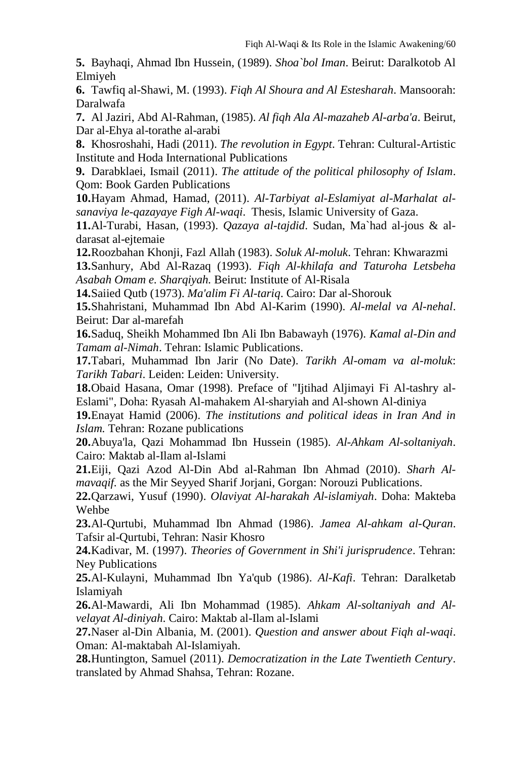**5.** Bayhaqi, Ahmad Ibn Hussein, (1989). *Shoa`bol Iman*. Beirut: Daralkotob Al Elmiyeh

**6.** Tawfiq al-Shawi, M. (1993). *Fiqh Al Shoura and Al Estesharah*. Mansoorah: Daralwafa

**7.** Al Jaziri, Abd Al-Rahman, (1985). *Al fiqh Ala Al-mazaheb Al-arba'a*. Beirut, Dar al-Ehya al-torathe al-arabi

**8.** Khosroshahi, Hadi (2011). *The revolution in Egypt*. Tehran: Cultural-Artistic Institute and Hoda International Publications

**9.** Darabklaei, Ismail (2011). *The attitude of the political philosophy of Islam*. Qom: Book Garden Publications

**10.**Hayam Ahmad, Hamad, (2011). *Al-Tarbiyat al-Eslamiyat al-Marhalat alsanaviya le-qazayaye Figh Al-waqi*. Thesis, Islamic University of Gaza.

**11.**Al-Turabi, Hasan, (1993). *Qazaya al-tajdid*. Sudan, Ma`had al-jous & aldarasat al-ejtemaie

**12.**Roozbahan Khonji, Fazl Allah (1983). *Soluk Al-moluk*. Tehran: Khwarazmi

**13.**Sanhury, Abd Al-Razaq (1993). *Fiqh Al-khilafa and Taturoha Letsbeha Asabah Omam e. Sharqiyah.* Beirut: Institute of Al-Risala

**14.**Saiied Qutb (1973). *Ma'alim Fi Al-tariq*. Cairo: Dar al-Shorouk

**15.**Shahristani, Muhammad Ibn Abd Al-Karim (1990). *Al-melal va Al-nehal*. Beirut: Dar al-marefah

**16.**Saduq, Sheikh Mohammed Ibn Ali Ibn Babawayh (1976). *Kamal al-Din and Tamam al-Nimah*. Tehran: Islamic Publications.

**17.**Tabari, Muhammad Ibn Jarir (No Date). *Tarikh Al-omam va al-moluk*: *Tarikh Tabari*. Leiden: Leiden: University.

**18.**Obaid Hasana, Omar (1998). Preface of "Ijtihad Aljimayi Fi Al-tashry al-Eslami", Doha: Ryasah Al-mahakem Al-sharyiah and Al-shown Al-diniya

**19.**Enayat Hamid (2006). *The institutions and political ideas in Iran And in Islam.* Tehran: Rozane publications

**20.**Abuya'la, Qazi Mohammad Ibn Hussein (1985). *Al-Ahkam Al-soltaniyah*. Cairo: Maktab al-Ilam al-Islami

**21.**Eiji, Qazi Azod Al-Din Abd al-Rahman Ibn Ahmad (2010). *Sharh Almavaqif.* as the Mir Seyyed Sharif Jorjani, Gorgan: Norouzi Publications.

**22.**Qarzawi, Yusuf (1990). *Olaviyat Al-harakah Al-islamiyah*. Doha: Makteba Wehbe

**23.**Al-Qurtubi, Muhammad Ibn Ahmad (1986). *Jamea Al-ahkam al-Quran*. Tafsir al-Qurtubi, Tehran: Nasir Khosro

**24.**Kadivar, M. (1997). *Theories of Government in Shi'i jurisprudence*. Tehran: Ney Publications

**25.**Al-Kulayni, Muhammad Ibn Ya'qub (1986). *Al-Kafi*. Tehran: Daralketab Islamiyah

**26.**Al-Mawardi, Ali Ibn Mohammad (1985). *Ahkam Al-soltaniyah and Alvelayat Al-diniyah*. Cairo: Maktab al-Ilam al-Islami

**27.**Naser al-Din Albania, M. (2001). *Question and answer about Fiqh al-waqi*. Oman: Al-maktabah Al-Islamiyah.

**28.**Huntington, Samuel (2011). *Democratization in the Late Twentieth Century*. translated by Ahmad Shahsa, Tehran: Rozane.